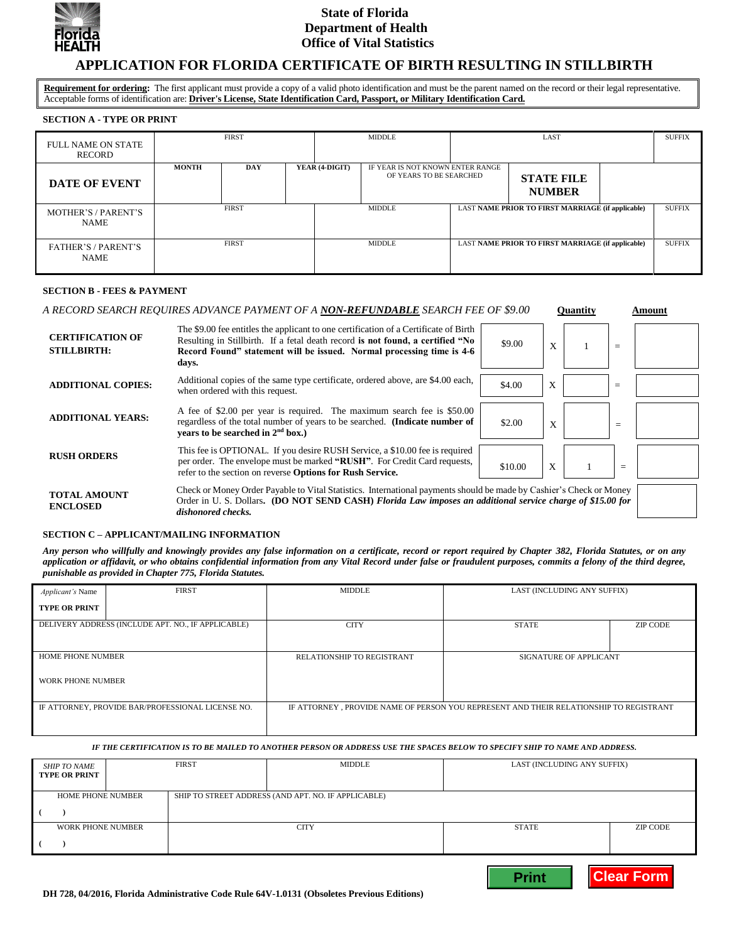

## **State of Florida Department of Health Office of Vital Statistics**

# **APPLICATION FOR FLORIDA CERTIFICATE OF BIRTH RESULTING IN STILLBIRTH**

**Requirement for ordering:** The first applicant must provide a copy of a valid photo identification and must be the parent named on the record or their legal representative. Acceptable forms of identification are: **Driver's License, State Identification Card, Passport, or Military Identification Card.**

## **SECTION A - TYPE OR PRINT**

| <b>FULL NAME ON STATE</b><br><b>RECORD</b> | <b>FIRST</b> |              |                | <b>MIDDLE</b>                                               |                                    | LAST                                                     | <b>SUFFIX</b> |               |
|--------------------------------------------|--------------|--------------|----------------|-------------------------------------------------------------|------------------------------------|----------------------------------------------------------|---------------|---------------|
| <b>DATE OF EVENT</b>                       | <b>MONTH</b> | <b>DAY</b>   | YEAR (4-DIGIT) | IF YEAR IS NOT KNOWN ENTER RANGE<br>OF YEARS TO BE SEARCHED | <b>STATE FILE</b><br><b>NUMBER</b> |                                                          |               |               |
| MOTHER'S / PARENT'S<br><b>NAME</b>         |              | <b>FIRST</b> |                | <b>MIDDLE</b>                                               |                                    | <b>LAST NAME PRIOR TO FIRST MARRIAGE (if applicable)</b> |               | <b>SUFFIX</b> |
| <b>FATHER'S / PARENT'S</b><br><b>NAME</b>  |              | <b>FIRST</b> |                | <b>MIDDLE</b>                                               |                                    | <b>LAST NAME PRIOR TO FIRST MARRIAGE (if applicable)</b> |               | <b>SUFFIX</b> |

#### **SECTION B - FEES & PAYMENT**

#### *A RECORD SEARCH REQUIRES ADVANCE PAYMENT OF A NON-REFUNDABLE SEARCH FEE OF \$9.00* **Quantity Amount**

**Print Clear Form**

| <b>CERTIFICATION OF</b><br><b>STILLBIRTH:</b> | The \$9.00 fee entitles the applicant to one certification of a Certificate of Birth<br>Resulting in Stillbirth. If a fetal death record is not found, a certified "No<br>Record Found" statement will be issued. Normal processing time is 4-6<br>days. | \$9.00  | X | $=$ |  |
|-----------------------------------------------|----------------------------------------------------------------------------------------------------------------------------------------------------------------------------------------------------------------------------------------------------------|---------|---|-----|--|
| <b>ADDITIONAL COPIES:</b>                     | Additional copies of the same type certificate, ordered above, are \$4.00 each,<br>when ordered with this request.                                                                                                                                       | \$4.00  | X | $=$ |  |
| <b>ADDITIONAL YEARS:</b>                      | A fee of \$2.00 per year is required. The maximum search fee is \$50.00<br>regardless of the total number of years to be searched. (Indicate number of<br>vears to be searched in $2nd$ box.)                                                            | \$2.00  | X | $=$ |  |
| <b>RUSH ORDERS</b>                            | This fee is OPTIONAL. If you desire RUSH Service, a \$10.00 fee is required<br>per order. The envelope must be marked "RUSH". For Credit Card requests,<br>refer to the section on reverse Options for Rush Service.                                     | \$10.00 | X | $=$ |  |
| <b>TOTAL AMOUNT</b><br><b>ENCLOSED</b>        | Check or Money Order Payable to Vital Statistics. International payments should be made by Cashier's Check or Money<br>Order in U.S. Dollars. (DO NOT SEND CASH) Florida Law imposes an additional service charge of \$15.00 for<br>dishonored checks.   |         |   |     |  |

#### **SECTION C – APPLICANT/MAILING INFORMATION**

*Any person who willfully and knowingly provides any false information on a certificate, record or report required by Chapter 382, Florida Statutes, or on any application or affidavit, or who obtains confidential information from any Vital Record under false or fraudulent purposes, commits a felony of the third degree, punishable as provided in Chapter 775, Florida Statutes.*

| <i>Applicant's</i> Name                            | <b>FIRST</b> | <b>MIDDLE</b>                                                                           | LAST (INCLUDING ANY SUFFIX) |                 |  |
|----------------------------------------------------|--------------|-----------------------------------------------------------------------------------------|-----------------------------|-----------------|--|
| <b>TYPE OR PRINT</b>                               |              |                                                                                         |                             |                 |  |
| DELIVERY ADDRESS (INCLUDE APT. NO., IF APPLICABLE) |              | <b>CITY</b>                                                                             | <b>STATE</b>                | <b>ZIP CODE</b> |  |
|                                                    |              |                                                                                         |                             |                 |  |
| <b>HOME PHONE NUMBER</b>                           |              | RELATIONSHIP TO REGISTRANT                                                              | SIGNATURE OF APPLICANT      |                 |  |
| <b>WORK PHONE NUMBER</b>                           |              |                                                                                         |                             |                 |  |
| IF ATTORNEY, PROVIDE BAR/PROFESSIONAL LICENSE NO.  |              | IF ATTORNEY , PROVIDE NAME OF PERSON YOU REPRESENT AND THEIR RELATIONSHIP TO REGISTRANT |                             |                 |  |
|                                                    |              |                                                                                         |                             |                 |  |

#### *IF THE CERTIFICATION IS TO BE MAILED TO ANOTHER PERSON OR ADDRESS USE THE SPACES BELOW TO SPECIFY SHIP TO NAME AND ADDRESS***.**

| SHIP TO NAME<br><b>TYPE OR PRINT</b> | <b>FIRST</b> | <b>MIDDLE</b>                                       | LAST (INCLUDING ANY SUFFIX) |          |
|--------------------------------------|--------------|-----------------------------------------------------|-----------------------------|----------|
| <b>HOME PHONE NUMBER</b>             |              | SHIP TO STREET ADDRESS (AND APT. NO. IF APPLICABLE) |                             |          |
| WORK PHONE NUMBER                    |              | <b>CITY</b>                                         | <b>STATE</b>                | ZIP CODE |